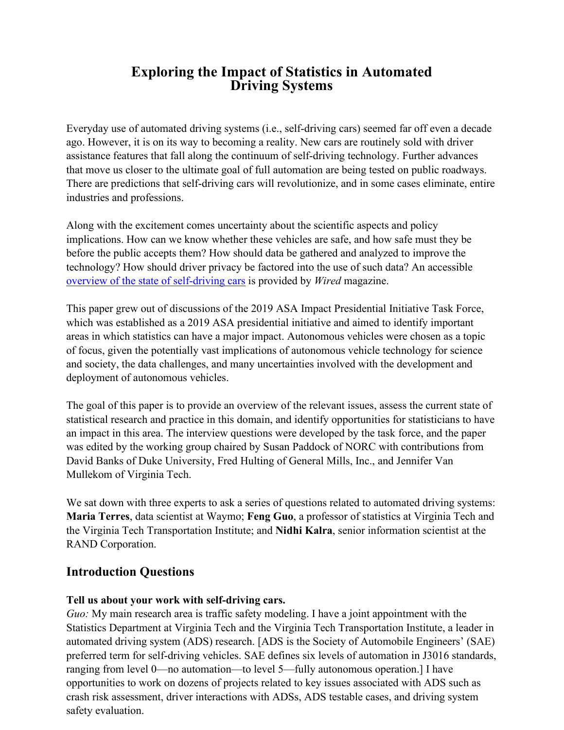# **Exploring the Impact of Statistics in Automated Driving Systems**

Everyday use of automated driving systems (i.e., self-driving cars) seemed far off even a decade ago. However, it is on its way to becoming a reality. New cars are routinely sold with driver assistance features that fall along the continuum of self-driving technology. Further advances that move us closer to the ultimate goal of full automation are being tested on public roadways. There are predictions that self-driving cars will revolutionize, and in some cases eliminate, entire industries and professions.

Along with the excitement comes uncertainty about the scientific aspects and policy implications. How can we know whether these vehicles are safe, and how safe must they be before the public accepts them? How should data be gathered and analyzed to improve the technology? How should driver privacy be factored into the use of such data? An accessible [overview of the state of](https://www.wired.com/story/guide-self-driving-cars/) self-driving cars is provided by *Wired* magazine.

This paper grew out of discussions of the 2019 ASA Impact Presidential Initiative Task Force, which was established as a 2019 ASA presidential initiative and aimed to identify important areas in which statistics can have a major impact. Autonomous vehicles were chosen as a topic of focus, given the potentially vast implications of autonomous vehicle technology for science and society, the data challenges, and many uncertainties involved with the development and deployment of autonomous vehicles.

The goal of this paper is to provide an overview of the relevant issues, assess the current state of statistical research and practice in this domain, and identify opportunities for statisticians to have an impact in this area. The interview questions were developed by the task force, and the paper was edited by the working group chaired by Susan Paddock of NORC with contributions from David Banks of Duke University, Fred Hulting of General Mills, Inc., and Jennifer Van Mullekom of Virginia Tech.

We sat down with three experts to ask a series of questions related to automated driving systems: **Maria Terres**, data scientist at Waymo; **Feng Guo**, a professor of statistics at Virginia Tech and the Virginia Tech Transportation Institute; and **Nidhi Kalra**, senior information scientist at the RAND Corporation.

## **Introduction Questions**

#### **Tell us about your work with self-driving cars.**

*Guo:* My main research area is traffic safety modeling. I have a joint appointment with the Statistics Department at Virginia Tech and the Virginia Tech Transportation Institute, a leader in automated driving system (ADS) research. [ADS is the Society of Automobile Engineers' (SAE) preferred term for self-driving vehicles. SAE defines six levels of automation in J3016 standards, ranging from level 0—no automation—to level 5—fully autonomous operation.] I have opportunities to work on dozens of projects related to key issues associated with ADS such as crash risk assessment, driver interactions with ADSs, ADS testable cases, and driving system safety evaluation.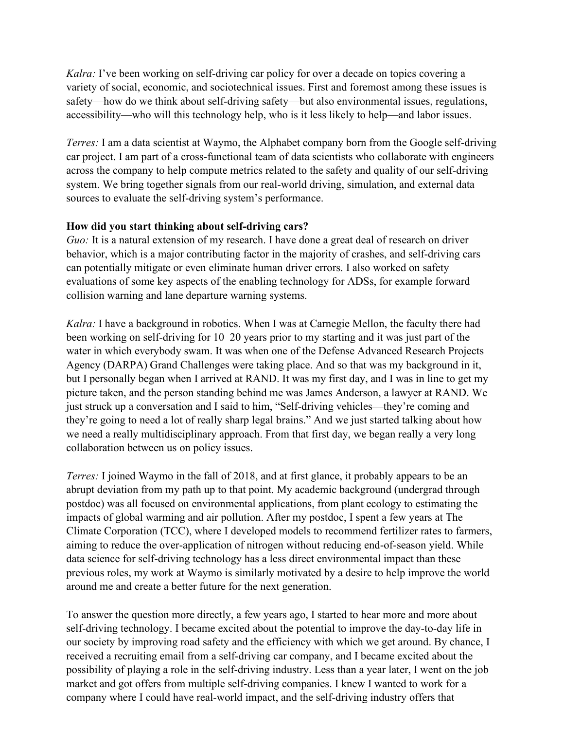*Kalra:* I've been working on self-driving car policy for over a decade on topics covering a variety of social, economic, and sociotechnical issues. First and foremost among these issues is safety—how do we think about self-driving safety—but also environmental issues, regulations, accessibility—who will this technology help, who is it less likely to help—and labor issues.

*Terres:* I am a data scientist at Waymo, the Alphabet company born from the Google self-driving car project. I am part of a cross-functional team of data scientists who collaborate with engineers across the company to help compute metrics related to the safety and quality of our self-driving system. We bring together signals from our real-world driving, simulation, and external data sources to evaluate the self-driving system's performance.

### **How did you start thinking about self-driving cars?**

*Guo:* It is a natural extension of my research. I have done a great deal of research on driver behavior, which is a major contributing factor in the majority of crashes, and self-driving cars can potentially mitigate or even eliminate human driver errors. I also worked on safety evaluations of some key aspects of the enabling technology for ADSs, for example forward collision warning and lane departure warning systems.

*Kalra:* I have a background in robotics. When I was at Carnegie Mellon, the faculty there had been working on self-driving for 10–20 years prior to my starting and it was just part of the water in which everybody swam. It was when one of the Defense Advanced Research Projects Agency (DARPA) Grand Challenges were taking place. And so that was my background in it, but I personally began when I arrived at RAND. It was my first day, and I was in line to get my picture taken, and the person standing behind me was James Anderson, a lawyer at RAND. We just struck up a conversation and I said to him, "Self-driving vehicles—they're coming and they're going to need a lot of really sharp legal brains." And we just started talking about how we need a really multidisciplinary approach. From that first day, we began really a very long collaboration between us on policy issues.

*Terres:* I joined Waymo in the fall of 2018, and at first glance, it probably appears to be an abrupt deviation from my path up to that point. My academic background (undergrad through postdoc) was all focused on environmental applications, from plant ecology to estimating the impacts of global warming and air pollution. After my postdoc, I spent a few years at The Climate Corporation (TCC), where I developed models to recommend fertilizer rates to farmers, aiming to reduce the over-application of nitrogen without reducing end-of-season yield. While data science for self-driving technology has a less direct environmental impact than these previous roles, my work at Waymo is similarly motivated by a desire to help improve the world around me and create a better future for the next generation.

To answer the question more directly, a few years ago, I started to hear more and more about self-driving technology. I became excited about the potential to improve the day-to-day life in our society by improving road safety and the efficiency with which we get around. By chance, I received a recruiting email from a self-driving car company, and I became excited about the possibility of playing a role in the self-driving industry. Less than a year later, I went on the job market and got offers from multiple self-driving companies. I knew I wanted to work for a company where I could have real-world impact, and the self-driving industry offers that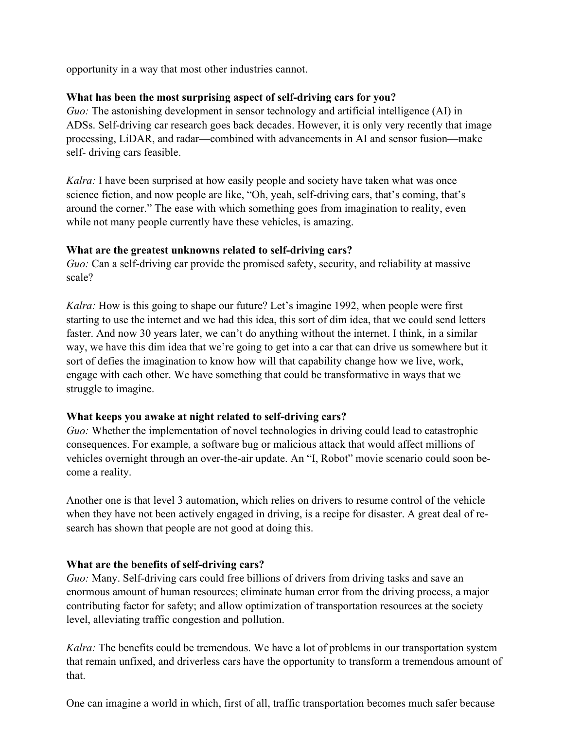opportunity in a way that most other industries cannot.

### **What has been the most surprising aspect of self-driving cars for you?**

*Guo:* The astonishing development in sensor technology and artificial intelligence (AI) in ADSs. Self-driving car research goes back decades. However, it is only very recently that image processing, LiDAR, and radar—combined with advancements in AI and sensor fusion—make self- driving cars feasible.

*Kalra:* I have been surprised at how easily people and society have taken what was once science fiction, and now people are like, "Oh, yeah, self-driving cars, that's coming, that's around the corner." The ease with which something goes from imagination to reality, even while not many people currently have these vehicles, is amazing.

#### **What are the greatest unknowns related to self-driving cars?**

*Guo:* Can a self-driving car provide the promised safety, security, and reliability at massive scale?

*Kalra:* How is this going to shape our future? Let's imagine 1992, when people were first starting to use the internet and we had this idea, this sort of dim idea, that we could send letters faster. And now 30 years later, we can't do anything without the internet. I think, in a similar way, we have this dim idea that we're going to get into a car that can drive us somewhere but it sort of defies the imagination to know how will that capability change how we live, work, engage with each other. We have something that could be transformative in ways that we struggle to imagine.

### **What keeps you awake at night related to self-driving cars?**

*Guo:* Whether the implementation of novel technologies in driving could lead to catastrophic consequences. For example, a software bug or malicious attack that would affect millions of vehicles overnight through an over-the-air update. An "I, Robot" movie scenario could soon become a reality.

Another one is that level 3 automation, which relies on drivers to resume control of the vehicle when they have not been actively engaged in driving, is a recipe for disaster. A great deal of research has shown that people are not good at doing this.

### **What are the benefits of self-driving cars?**

*Guo:* Many. Self-driving cars could free billions of drivers from driving tasks and save an enormous amount of human resources; eliminate human error from the driving process, a major contributing factor for safety; and allow optimization of transportation resources at the society level, alleviating traffic congestion and pollution.

*Kalra:* The benefits could be tremendous. We have a lot of problems in our transportation system that remain unfixed, and driverless cars have the opportunity to transform a tremendous amount of that.

One can imagine a world in which, first of all, traffic transportation becomes much safer because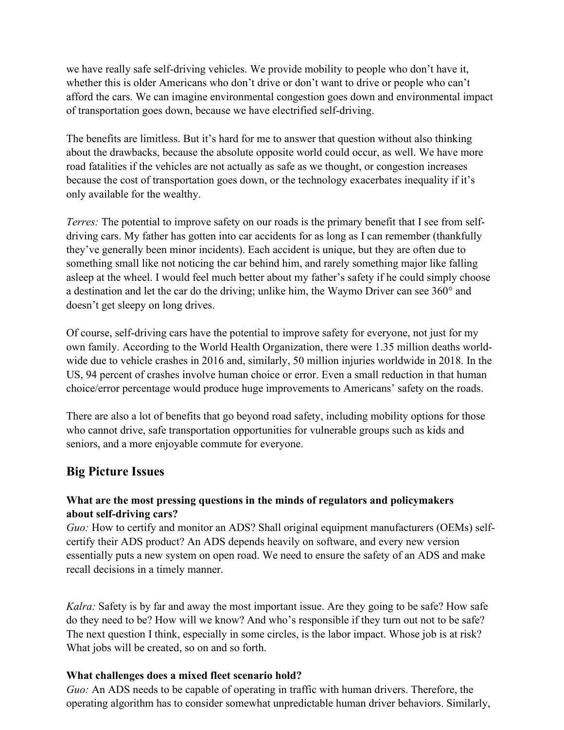we have really safe self-driving vehicles. We provide mobility to people who don't have it, whether this is older Americans who don't drive or don't want to drive or people who can't afford the cars. We can imagine environmental congestion goes down and environmental impact of transportation goes down, because we have electrified self-driving.

The benefits are limitless. But it's hard for me to answer that question without also thinking about the drawbacks, because the absolute opposite world could occur, as well. We have more road fatalities if the vehicles are not actually as safe as we thought, or congestion increases because the cost of transportation goes down, or the technology exacerbates inequality if it's only available for the wealthy.

*Terres:* The potential to improve safety on our roads is the primary benefit that I see from selfdriving cars. My father has gotten into car accidents for as long as I can remember (thankfully they've generally been minor incidents). Each accident is unique, but they are often due to something small like not noticing the car behind him, and rarely something major like falling asleep at the wheel. I would feel much better about my father's safety if he could simply choose a destination and let the car do the driving; unlike him, the Waymo Driver can see 360° and doesn't get sleepy on long drives.

Of course, self-driving cars have the potential to improve safety for everyone, not just for my own family. According to the World Health Organization, there were 1.35 million deaths worldwide due to vehicle crashes in 2016 and, similarly, 50 million injuries worldwide in 2018. In the US, 94 percent of crashes involve human choice or error. Even a small reduction in that human choice/error percentage would produce huge improvements to Americans' safety on the roads.

There are also a lot of benefits that go beyond road safety, including mobility options for those who cannot drive, safe transportation opportunities for vulnerable groups such as kids and seniors, and a more enjoyable commute for everyone.

# **Big Picture Issues**

## **What are the most pressing questions in the minds of regulators and policymakers about self-driving cars?**

*Guo:* How to certify and monitor an ADS? Shall original equipment manufacturers (OEMs) selfcertify their ADS product? An ADS depends heavily on software, and every new version essentially puts a new system on open road. We need to ensure the safety of an ADS and make recall decisions in a timely manner.

*Kalra:* Safety is by far and away the most important issue. Are they going to be safe? How safe do they need to be? How will we know? And who's responsible if they turn out not to be safe? The next question I think, especially in some circles, is the labor impact. Whose job is at risk? What jobs will be created, so on and so forth.

### **What challenges does a mixed fleet scenario hold?**

*Guo:* An ADS needs to be capable of operating in traffic with human drivers. Therefore, the operating algorithm has to consider somewhat unpredictable human driver behaviors. Similarly,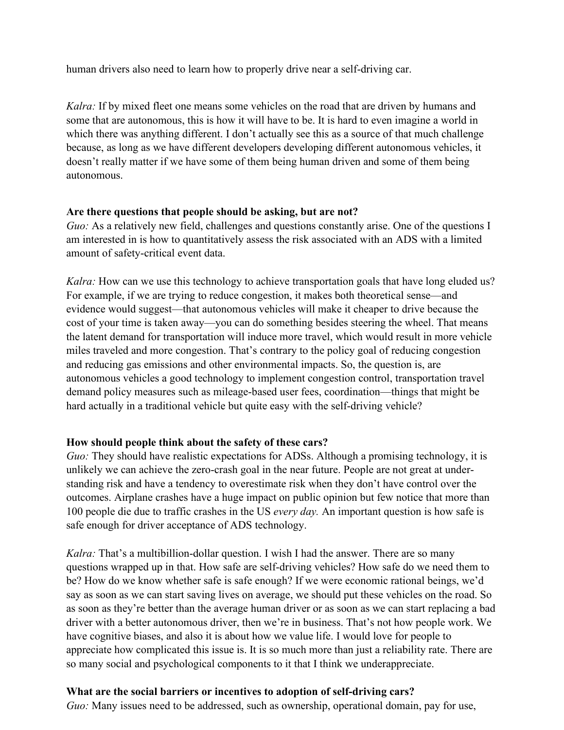human drivers also need to learn how to properly drive near a self-driving car.

*Kalra:* If by mixed fleet one means some vehicles on the road that are driven by humans and some that are autonomous, this is how it will have to be. It is hard to even imagine a world in which there was anything different. I don't actually see this as a source of that much challenge because, as long as we have different developers developing different autonomous vehicles, it doesn't really matter if we have some of them being human driven and some of them being autonomous.

#### **Are there questions that people should be asking, but are not?**

*Guo:* As a relatively new field, challenges and questions constantly arise. One of the questions I am interested in is how to quantitatively assess the risk associated with an ADS with a limited amount of safety-critical event data.

*Kalra:* How can we use this technology to achieve transportation goals that have long eluded us? For example, if we are trying to reduce congestion, it makes both theoretical sense—and evidence would suggest—that autonomous vehicles will make it cheaper to drive because the cost of your time is taken away—you can do something besides steering the wheel. That means the latent demand for transportation will induce more travel, which would result in more vehicle miles traveled and more congestion. That's contrary to the policy goal of reducing congestion and reducing gas emissions and other environmental impacts. So, the question is, are autonomous vehicles a good technology to implement congestion control, transportation travel demand policy measures such as mileage-based user fees, coordination—things that might be hard actually in a traditional vehicle but quite easy with the self-driving vehicle?

### **How should people think about the safety of these cars?**

*Guo:* They should have realistic expectations for ADSs. Although a promising technology, it is unlikely we can achieve the zero-crash goal in the near future. People are not great at understanding risk and have a tendency to overestimate risk when they don't have control over the outcomes. Airplane crashes have a huge impact on public opinion but few notice that more than 100 people die due to traffic crashes in the US *every day.* An important question is how safe is safe enough for driver acceptance of ADS technology.

*Kalra:* That's a multibillion-dollar question. I wish I had the answer. There are so many questions wrapped up in that. How safe are self-driving vehicles? How safe do we need them to be? How do we know whether safe is safe enough? If we were economic rational beings, we'd say as soon as we can start saving lives on average, we should put these vehicles on the road. So as soon as they're better than the average human driver or as soon as we can start replacing a bad driver with a better autonomous driver, then we're in business. That's not how people work. We have cognitive biases, and also it is about how we value life. I would love for people to appreciate how complicated this issue is. It is so much more than just a reliability rate. There are so many social and psychological components to it that I think we underappreciate.

### **What are the social barriers or incentives to adoption of self-driving cars?**

*Guo:* Many issues need to be addressed, such as ownership, operational domain, pay for use,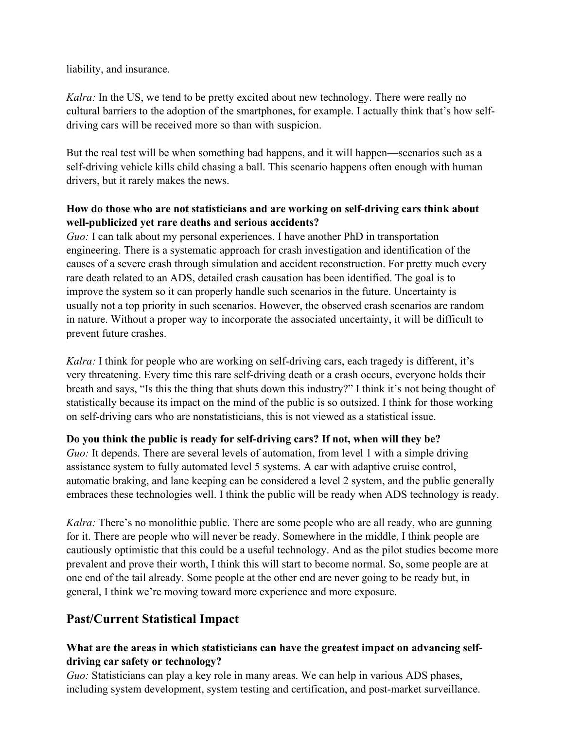liability, and insurance.

*Kalra:* In the US, we tend to be pretty excited about new technology. There were really no cultural barriers to the adoption of the smartphones, for example. I actually think that's how selfdriving cars will be received more so than with suspicion.

But the real test will be when something bad happens, and it will happen—scenarios such as a self-driving vehicle kills child chasing a ball. This scenario happens often enough with human drivers, but it rarely makes the news.

## **How do those who are not statisticians and are working on self-driving cars think about well-publicized yet rare deaths and serious accidents?**

*Guo:* I can talk about my personal experiences. I have another PhD in transportation engineering. There is a systematic approach for crash investigation and identification of the causes of a severe crash through simulation and accident reconstruction. For pretty much every rare death related to an ADS, detailed crash causation has been identified. The goal is to improve the system so it can properly handle such scenarios in the future. Uncertainty is usually not a top priority in such scenarios. However, the observed crash scenarios are random in nature. Without a proper way to incorporate the associated uncertainty, it will be difficult to prevent future crashes.

*Kalra:* I think for people who are working on self-driving cars, each tragedy is different, it's very threatening. Every time this rare self-driving death or a crash occurs, everyone holds their breath and says, "Is this the thing that shuts down this industry?" I think it's not being thought of statistically because its impact on the mind of the public is so outsized. I think for those working on self-driving cars who are nonstatisticians, this is not viewed as a statistical issue.

### **Do you think the public is ready for self-driving cars? If not, when will they be?**

*Guo:* It depends. There are several levels of automation, from level 1 with a simple driving assistance system to fully automated level 5 systems. A car with adaptive cruise control, automatic braking, and lane keeping can be considered a level 2 system, and the public generally embraces these technologies well. I think the public will be ready when ADS technology is ready.

*Kalra:* There's no monolithic public. There are some people who are all ready, who are gunning for it. There are people who will never be ready. Somewhere in the middle, I think people are cautiously optimistic that this could be a useful technology. And as the pilot studies become more prevalent and prove their worth, I think this will start to become normal. So, some people are at one end of the tail already. Some people at the other end are never going to be ready but, in general, I think we're moving toward more experience and more exposure.

# **Past/Current Statistical Impact**

## **What are the areas in which statisticians can have the greatest impact on advancing selfdriving car safety or technology?**

*Guo:* Statisticians can play a key role in many areas. We can help in various ADS phases, including system development, system testing and certification, and post-market surveillance.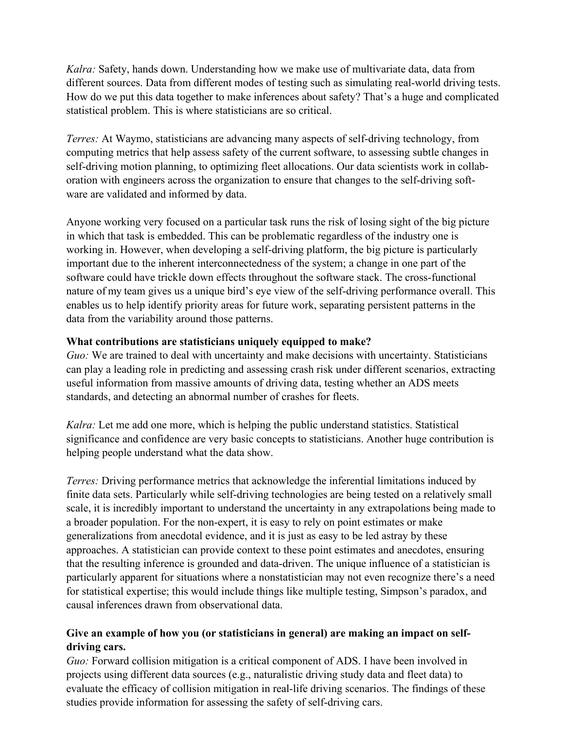*Kalra:* Safety, hands down. Understanding how we make use of multivariate data, data from different sources. Data from different modes of testing such as simulating real-world driving tests. How do we put this data together to make inferences about safety? That's a huge and complicated statistical problem. This is where statisticians are so critical.

*Terres:* At Waymo, statisticians are advancing many aspects of self-driving technology, from computing metrics that help assess safety of the current software, to assessing subtle changes in self-driving motion planning, to optimizing fleet allocations. Our data scientists work in collaboration with engineers across the organization to ensure that changes to the self-driving software are validated and informed by data.

Anyone working very focused on a particular task runs the risk of losing sight of the big picture in which that task is embedded. This can be problematic regardless of the industry one is working in. However, when developing a self-driving platform, the big picture is particularly important due to the inherent interconnectedness of the system; a change in one part of the software could have trickle down effects throughout the software stack. The cross-functional nature of my team gives us a unique bird's eye view of the self-driving performance overall. This enables us to help identify priority areas for future work, separating persistent patterns in the data from the variability around those patterns.

### **What contributions are statisticians uniquely equipped to make?**

*Guo:* We are trained to deal with uncertainty and make decisions with uncertainty. Statisticians can play a leading role in predicting and assessing crash risk under different scenarios, extracting useful information from massive amounts of driving data, testing whether an ADS meets standards, and detecting an abnormal number of crashes for fleets.

*Kalra:* Let me add one more, which is helping the public understand statistics. Statistical significance and confidence are very basic concepts to statisticians. Another huge contribution is helping people understand what the data show.

*Terres:* Driving performance metrics that acknowledge the inferential limitations induced by finite data sets. Particularly while self-driving technologies are being tested on a relatively small scale, it is incredibly important to understand the uncertainty in any extrapolations being made to a broader population. For the non-expert, it is easy to rely on point estimates or make generalizations from anecdotal evidence, and it is just as easy to be led astray by these approaches. A statistician can provide context to these point estimates and anecdotes, ensuring that the resulting inference is grounded and data-driven. The unique influence of a statistician is particularly apparent for situations where a nonstatistician may not even recognize there's a need for statistical expertise; this would include things like multiple testing, Simpson's paradox, and causal inferences drawn from observational data.

## **Give an example of how you (or statisticians in general) are making an impact on selfdriving cars.**

*Guo:* Forward collision mitigation is a critical component of ADS. I have been involved in projects using different data sources (e.g., naturalistic driving study data and fleet data) to evaluate the efficacy of collision mitigation in real-life driving scenarios. The findings of these studies provide information for assessing the safety of self-driving cars.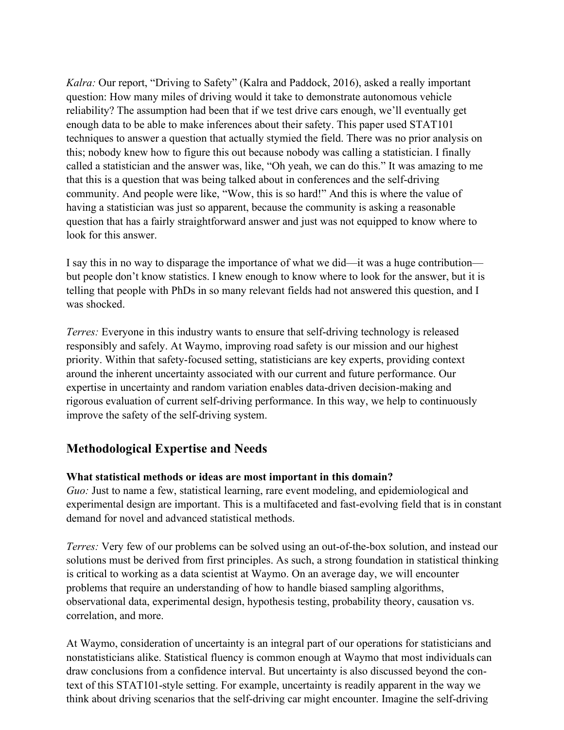*Kalra:* Our report, "Driving to Safety" (Kalra and Paddock, 2016), asked a really important question: How many miles of driving would it take to demonstrate autonomous vehicle reliability? The assumption had been that if we test drive cars enough, we'll eventually get enough data to be able to make inferences about their safety. This paper used STAT101 techniques to answer a question that actually stymied the field. There was no prior analysis on this; nobody knew how to figure this out because nobody was calling a statistician. I finally called a statistician and the answer was, like, "Oh yeah, we can do this." It was amazing to me that this is a question that was being talked about in conferences and the self-driving community. And people were like, "Wow, this is so hard!" And this is where the value of having a statistician was just so apparent, because the community is asking a reasonable question that has a fairly straightforward answer and just was not equipped to know where to look for this answer.

I say this in no way to disparage the importance of what we did—it was a huge contribution but people don't know statistics. I knew enough to know where to look for the answer, but it is telling that people with PhDs in so many relevant fields had not answered this question, and I was shocked.

*Terres:* Everyone in this industry wants to ensure that self-driving technology is released responsibly and safely. At Waymo, improving road safety is our mission and our highest priority. Within that safety-focused setting, statisticians are key experts, providing context around the inherent uncertainty associated with our current and future performance. Our expertise in uncertainty and random variation enables data-driven decision-making and rigorous evaluation of current self-driving performance. In this way, we help to continuously improve the safety of the self-driving system.

# **Methodological Expertise and Needs**

### **What statistical methods or ideas are most important in this domain?**

*Guo:* Just to name a few, statistical learning, rare event modeling, and epidemiological and experimental design are important. This is a multifaceted and fast-evolving field that is in constant demand for novel and advanced statistical methods.

*Terres:* Very few of our problems can be solved using an out-of-the-box solution, and instead our solutions must be derived from first principles. As such, a strong foundation in statistical thinking is critical to working as a data scientist at Waymo. On an average day, we will encounter problems that require an understanding of how to handle biased sampling algorithms, observational data, experimental design, hypothesis testing, probability theory, causation vs. correlation, and more.

At Waymo, consideration of uncertainty is an integral part of our operations for statisticians and nonstatisticians alike. Statistical fluency is common enough at Waymo that most individuals can draw conclusions from a confidence interval. But uncertainty is also discussed beyond the context of this STAT101-style setting. For example, uncertainty is readily apparent in the way we think about driving scenarios that the self-driving car might encounter. Imagine the self-driving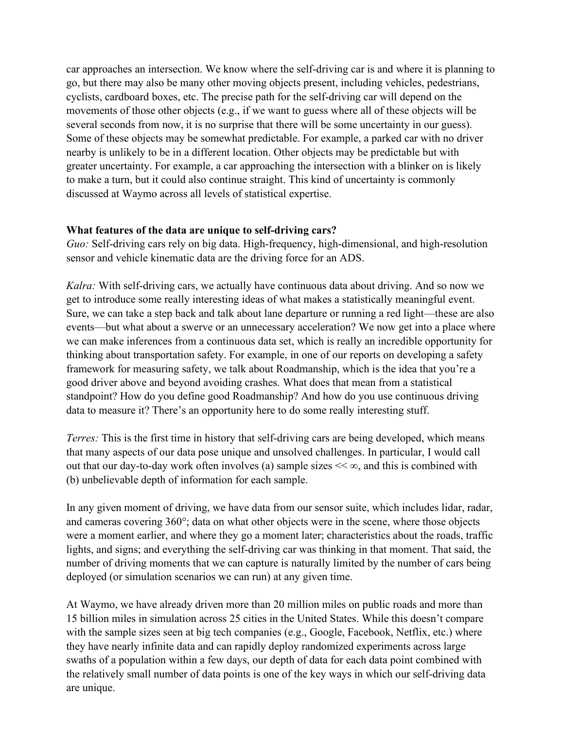car approaches an intersection. We know where the self-driving car is and where it is planning to go, but there may also be many other moving objects present, including vehicles, pedestrians, cyclists, cardboard boxes, etc. The precise path for the self-driving car will depend on the movements of those other objects (e.g., if we want to guess where all of these objects will be several seconds from now, it is no surprise that there will be some uncertainty in our guess). Some of these objects may be somewhat predictable. For example, a parked car with no driver nearby is unlikely to be in a different location. Other objects may be predictable but with greater uncertainty. For example, a car approaching the intersection with a blinker on is likely to make a turn, but it could also continue straight. This kind of uncertainty is commonly discussed at Waymo across all levels of statistical expertise.

#### **What features of the data are unique to self-driving cars?**

*Guo:* Self-driving cars rely on big data. High-frequency, high-dimensional, and high-resolution sensor and vehicle kinematic data are the driving force for an ADS.

*Kalra:* With self-driving cars, we actually have continuous data about driving. And so now we get to introduce some really interesting ideas of what makes a statistically meaningful event. Sure, we can take a step back and talk about lane departure or running a red light—these are also events—but what about a swerve or an unnecessary acceleration? We now get into a place where we can make inferences from a continuous data set, which is really an incredible opportunity for thinking about transportation safety. For example, in one of our reports on developing a safety framework for measuring safety, we talk about Roadmanship, which is the idea that you're a good driver above and beyond avoiding crashes. What does that mean from a statistical standpoint? How do you define good Roadmanship? And how do you use continuous driving data to measure it? There's an opportunity here to do some really interesting stuff.

*Terres:* This is the first time in history that self-driving cars are being developed, which means that many aspects of our data pose unique and unsolved challenges. In particular, I would call out that our day-to-day work often involves (a) sample sizes  $\ll \infty$ , and this is combined with (b) unbelievable depth of information for each sample.

In any given moment of driving, we have data from our sensor suite, which includes lidar, radar, and cameras covering 360°; data on what other objects were in the scene, where those objects were a moment earlier, and where they go a moment later; characteristics about the roads, traffic lights, and signs; and everything the self-driving car was thinking in that moment. That said, the number of driving moments that we can capture is naturally limited by the number of cars being deployed (or simulation scenarios we can run) at any given time.

At Waymo, we have already driven more than 20 million miles on public roads and more than 15 billion miles in simulation across 25 cities in the United States. While this doesn't compare with the sample sizes seen at big tech companies (e.g., Google, Facebook, Netflix, etc.) where they have nearly infinite data and can rapidly deploy randomized experiments across large swaths of a population within a few days, our depth of data for each data point combined with the relatively small number of data points is one of the key ways in which our self-driving data are unique.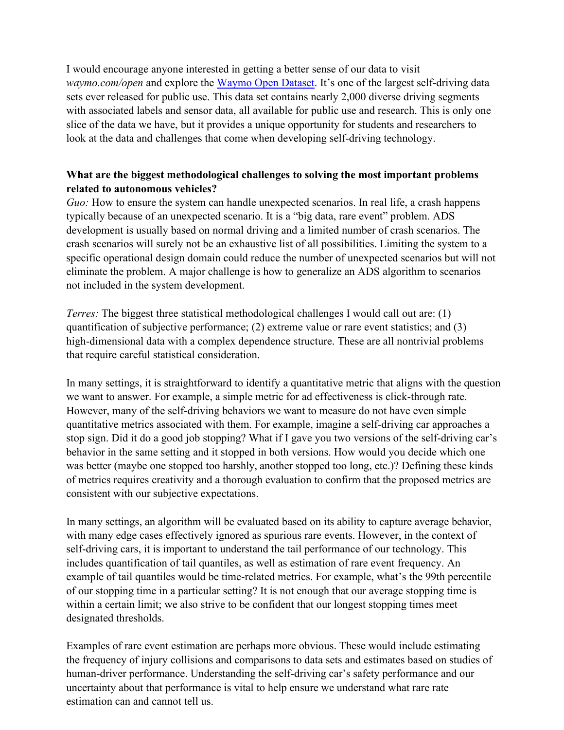I would encourage anyone interested in getting a better sense of our data to visit *waymo.com/open* and explore the [Waymo Open Dataset.](https://waymo.com/open) It's one of the largest self-driving data sets ever released for public use. This data set contains nearly 2,000 diverse driving segments with associated labels and sensor data, all available for public use and research. This is only one slice of the data we have, but it provides a unique opportunity for students and researchers to look at the data and challenges that come when developing self-driving technology.

## **What are the biggest methodological challenges to solving the most important problems related to autonomous vehicles?**

*Guo:* How to ensure the system can handle unexpected scenarios. In real life, a crash happens typically because of an unexpected scenario. It is a "big data, rare event" problem. ADS development is usually based on normal driving and a limited number of crash scenarios. The crash scenarios will surely not be an exhaustive list of all possibilities. Limiting the system to a specific operational design domain could reduce the number of unexpected scenarios but will not eliminate the problem. A major challenge is how to generalize an ADS algorithm to scenarios not included in the system development.

*Terres:* The biggest three statistical methodological challenges I would call out are: (1) quantification of subjective performance; (2) extreme value or rare event statistics; and (3) high-dimensional data with a complex dependence structure. These are all nontrivial problems that require careful statistical consideration.

In many settings, it is straightforward to identify a quantitative metric that aligns with the question we want to answer. For example, a simple metric for ad effectiveness is click-through rate. However, many of the self-driving behaviors we want to measure do not have even simple quantitative metrics associated with them. For example, imagine a self-driving car approaches a stop sign. Did it do a good job stopping? What if I gave you two versions of the self-driving car's behavior in the same setting and it stopped in both versions. How would you decide which one was better (maybe one stopped too harshly, another stopped too long, etc.)? Defining these kinds of metrics requires creativity and a thorough evaluation to confirm that the proposed metrics are consistent with our subjective expectations.

In many settings, an algorithm will be evaluated based on its ability to capture average behavior, with many edge cases effectively ignored as spurious rare events. However, in the context of self-driving cars, it is important to understand the tail performance of our technology. This includes quantification of tail quantiles, as well as estimation of rare event frequency. An example of tail quantiles would be time-related metrics. For example, what's the 99th percentile of our stopping time in a particular setting? It is not enough that our average stopping time is within a certain limit; we also strive to be confident that our longest stopping times meet designated thresholds.

Examples of rare event estimation are perhaps more obvious. These would include estimating the frequency of injury collisions and comparisons to data sets and estimates based on studies of human-driver performance. Understanding the self-driving car's safety performance and our uncertainty about that performance is vital to help ensure we understand what rare rate estimation can and cannot tell us.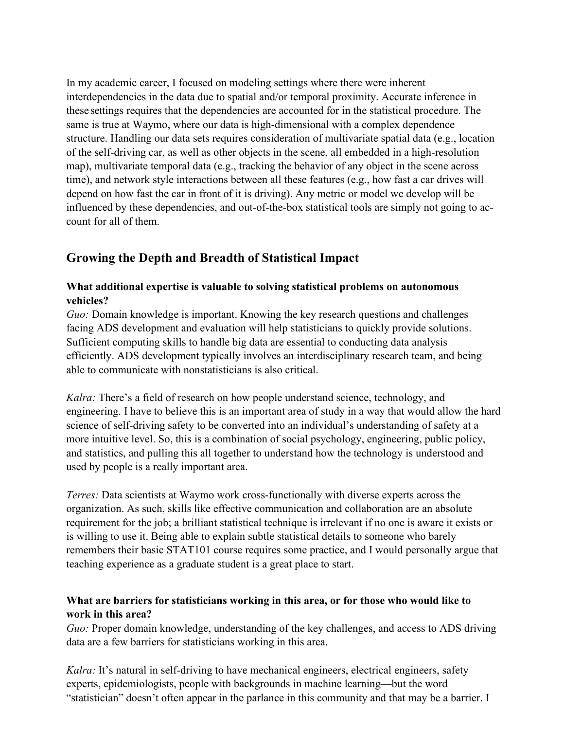In my academic career, I focused on modeling settings where there were inherent interdependencies in the data due to spatial and/or temporal proximity. Accurate inference in these settings requires that the dependencies are accounted for in the statistical procedure. The same is true at Waymo, where our data is high-dimensional with a complex dependence structure. Handling our data sets requires consideration of multivariate spatial data (e.g., location of the self-driving car, as well as other objects in the scene, all embedded in a high-resolution map), multivariate temporal data (e.g., tracking the behavior of any object in the scene across time), and network style interactions between all these features (e.g., how fast a car drives will depend on how fast the car in front of it is driving). Any metric or model we develop will be influenced by these dependencies, and out-of-the-box statistical tools are simply not going to account for all of them.

# **Growing the Depth and Breadth of Statistical Impact**

### **What additional expertise is valuable to solving statistical problems on autonomous vehicles?**

*Guo:* Domain knowledge is important. Knowing the key research questions and challenges facing ADS development and evaluation will help statisticians to quickly provide solutions. Sufficient computing skills to handle big data are essential to conducting data analysis efficiently. ADS development typically involves an interdisciplinary research team, and being able to communicate with nonstatisticians is also critical.

*Kalra:* There's a field of research on how people understand science, technology, and engineering. I have to believe this is an important area of study in a way that would allow the hard science of self-driving safety to be converted into an individual's understanding of safety at a more intuitive level. So, this is a combination of social psychology, engineering, public policy, and statistics, and pulling this all together to understand how the technology is understood and used by people is a really important area.

*Terres:* Data scientists at Waymo work cross-functionally with diverse experts across the organization. As such, skills like effective communication and collaboration are an absolute requirement for the job; a brilliant statistical technique is irrelevant if no one is aware it exists or is willing to use it. Being able to explain subtle statistical details to someone who barely remembers their basic STAT101 course requires some practice, and I would personally argue that teaching experience as a graduate student is a great place to start.

## **What are barriers for statisticians working in this area, or for those who would like to work in this area?**

*Guo:* Proper domain knowledge, understanding of the key challenges, and access to ADS driving data are a few barriers for statisticians working in this area.

*Kalra:* It's natural in self-driving to have mechanical engineers, electrical engineers, safety experts, epidemiologists, people with backgrounds in machine learning—but the word "statistician" doesn't often appear in the parlance in this community and that may be a barrier. I